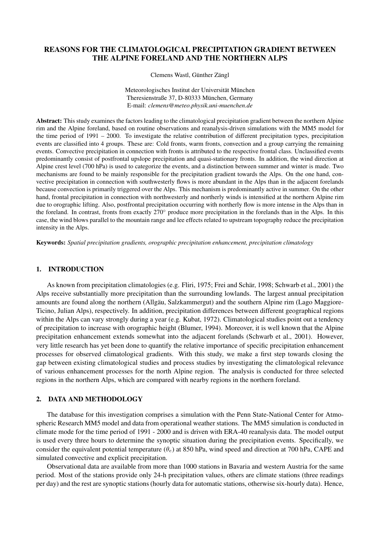# REASONS FOR THE CLIMATOLOGICAL PRECIPITATION GRADIENT BETWEEN THE ALPINE FORELAND AND THE NORTHERN ALPS

Clemens Wastl, Günther Zängl

Meteorologisches Institut der Universität München Theresienstraße 37, D-80333 München, Germany E-mail: *clemens@meteo.physik.uni-muenchen.de*

Abstract: This study examines the factors leading to the climatological precipitation gradient between the northern Alpine rim and the Alpine foreland, based on routine observations and reanalysis-driven simulations with the MM5 model for the time period of 1991 – 2000. To investigate the relative contribution of different precipitation types, precipitation events are classified into 4 groups. These are: Cold fronts, warm fronts, convection and a group carrying the remaining events. Convective precipitation in connection with fronts is attributed to the respective frontal class. Unclassified events predominantly consist of postfrontal upslope precipitation and quasi-stationary fronts. In addition, the wind direction at Alpine crest level (700 hPa) is used to categorize the events, and a distinction between summer and winter is made. Two mechanisms are found to be mainly responsible for the precipitation gradient towards the Alps. On the one hand, convective precipitation in connection with southwesterly flows is more abundant in the Alps than in the adjacent forelands because convection is primarily triggered over the Alps. This mechanism is predominantly active in summer. On the other hand, frontal precipitation in connection with northwesterly and northerly winds is intensified at the northern Alpine rim due to orographic lifting. Also, postfrontal precipitation occurring with northerly flow is more intense in the Alps than in the foreland. In contrast, fronts from exactly 270◦ produce more precipitation in the forelands than in the Alps. In this case, the wind blows parallel to the mountain range and lee effects related to upstream topography reduce the precipitation intensity in the Alps.

Keywords: *Spatial precipitation gradients, orographic precipitation enhancement, precipitation climatology*

## 1. INTRODUCTION

As known from precipitation climatologies (e.g. Fliri, 1975; Frei and Schär, 1998; Schwarb et al., 2001) the Alps receive substantially more precipitation than the surrounding lowlands. The largest annual precipitation amounts are found along the northern (Allgäu, Salzkammergut) and the southern Alpine rim (Lago Maggiore-Ticino, Julian Alps), respectively. In addition, precipitation differences between different geographical regions within the Alps can vary strongly during a year (e.g. Kubat, 1972). Climatological studies point out a tendency of precipitation to increase with orographic height (Blumer, 1994). Moreover, it is well known that the Alpine precipitation enhancement extends somewhat into the adjacent forelands (Schwarb et al., 2001). However, very little research has yet been done to quantify the relative importance of specific precipitation enhancement processes for observed climatological gradients. With this study, we make a first step towards closing the gap between existing climatological studies and process studies by investigating the climatological relevance of various enhancement processes for the north Alpine region. The analysis is conducted for three selected regions in the northern Alps, which are compared with nearby regions in the northern foreland.

### 2. DATA AND METHODOLOGY

The database for this investigation comprises a simulation with the Penn State-National Center for Atmospheric Research MM5 model and data from operational weather stations. The MM5 simulation is conducted in climate mode for the time period of 1991 - 2000 and is driven with ERA-40 reanalysis data. The model output is used every three hours to determine the synoptic situation during the precipitation events. Specifically, we consider the equivalent potential temperature ( $\theta_e$ ) at 850 hPa, wind speed and direction at 700 hPa, CAPE and simulated convective and explicit precipitation.

Observational data are available from more than 1000 stations in Bavaria and western Austria for the same period. Most of the stations provide only 24-h precipitation values, others are climate stations (three readings per day) and the rest are synoptic stations (hourly data for automatic stations, otherwise six-hourly data). Hence,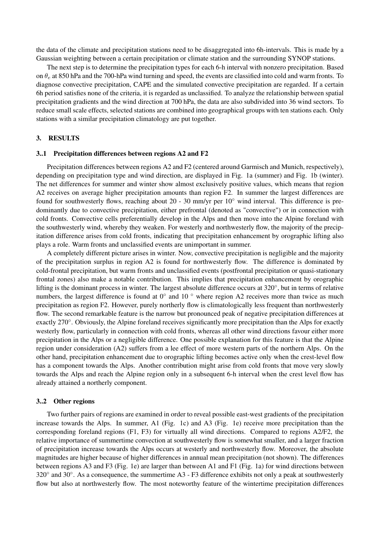the data of the climate and precipitation stations need to be disaggregated into 6h-intervals. This is made by a Gaussian weighting between a certain precipitation or climate station and the surrounding SYNOP stations.

The next step is to determine the precipitation types for each 6-h interval with nonzero precipitation. Based on  $\theta_e$  at 850 hPa and the 700-hPa wind turning and speed, the events are classified into cold and warm fronts. To diagnose convective precipitation, CAPE and the simulated convective precipitation are regarded. If a certain 6h period satisfies none of the criteria, it is regarded as unclassified. To analyze the relationship between spatial precipitation gradients and the wind direction at 700 hPa, the data are also subdivided into 36 wind sectors. To reduce small scale effects, selected stations are combined into geographical groups with ten stations each. Only stations with a similar precipitation climatology are put together.

## 3. RESULTS

#### 3..1 Precipitation differences between regions A2 and F2

Precipitation differences between regions A2 and F2 (centered around Garmisch and Munich, respectively), depending on precipitation type and wind direction, are displayed in Fig. 1a (summer) and Fig. 1b (winter). The net differences for summer and winter show almost exclusively positive values, which means that region A2 receives on average higher precipitation amounts than region F2. In summer the largest differences are found for southwesterly flows, reaching about 20 - 30 mm/yr per  $10°$  wind interval. This difference is predominantly due to convective precipitation, either prefrontal (denoted as "convective") or in connection with cold fronts. Convective cells preferentially develop in the Alps and then move into the Alpine foreland with the southwesterly wind, whereby they weaken. For westerly and northwesterly flow, the majority of the precipitation difference arises from cold fronts, indicating that precipitation enhancement by orographic lifting also plays a role. Warm fronts and unclassified events are unimportant in summer.

A completely different picture arises in winter. Now, convective precipitation is negligible and the majority of the precipitation surplus in region A2 is found for northwesterly flow. The difference is dominated by cold-frontal precipitation, but warm fronts and unclassified events (postfrontal precipitation or quasi-stationary frontal zones) also make a notable contribution. This implies that precipitation enhancement by orographic lifting is the dominant process in winter. The largest absolute difference occurs at 320°, but in terms of relative numbers, the largest difference is found at  $0^\circ$  and  $10^\circ$  where region A2 receives more than twice as much precipitation as region F2. However, purely northerly flow is climatologically less frequent than northwesterly flow. The second remarkable feature is the narrow but pronounced peak of negative precipitation differences at exactly 270°. Obviously, the Alpine foreland receives significantly more precipitation than the Alps for exactly westerly flow, particularly in connection with cold fronts, whereas all other wind directions favour either more precipitation in the Alps or a negligible difference. One possible explanation for this feature is that the Alpine region under consideration (A2) suffers from a lee effect of more western parts of the northern Alps. On the other hand, precipitation enhancement due to orographic lifting becomes active only when the crest-level flow has a component towards the Alps. Another contribution might arise from cold fronts that move very slowly towards the Alps and reach the Alpine region only in a subsequent 6-h interval when the crest level flow has already attained a northerly component.

#### 3..2 Other regions

Two further pairs of regions are examined in order to reveal possible east-west gradients of the precipitation increase towards the Alps. In summer, A1 (Fig. 1c) and A3 (Fig. 1e) receive more precipitation than the corresponding foreland regions (F1, F3) for virtually all wind directions. Compared to regions A2/F2, the relative importance of summertime convection at southwesterly flow is somewhat smaller, and a larger fraction of precipitation increase towards the Alps occurs at westerly and northwesterly flow. Moreover, the absolute magnitudes are higher because of higher differences in annual mean precipitation (not shown). The differences between regions A3 and F3 (Fig. 1e) are larger than between A1 and F1 (Fig. 1a) for wind directions between 320° and 30°. As a consequence, the summertime A3 - F3 difference exhibits not only a peak at southwesterly flow but also at northwesterly flow. The most noteworthy feature of the wintertime precipitation differences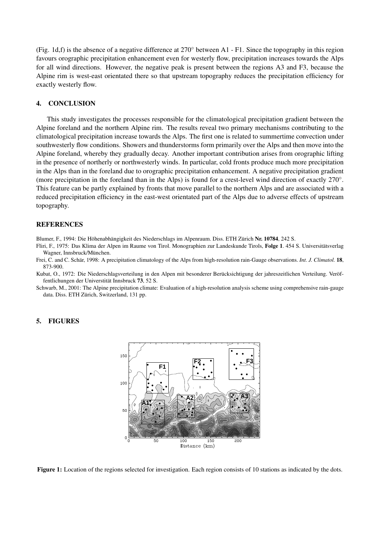(Fig. 1d,f) is the absence of a negative difference at  $270^\circ$  between A1 - F1. Since the topography in this region favours orographic precipitation enhancement even for westerly flow, precipitation increases towards the Alps for all wind directions. However, the negative peak is present between the regions A3 and F3, because the Alpine rim is west-east orientated there so that upstream topography reduces the precipitation efficiency for exactly westerly flow.

## 4. CONCLUSION

This study investigates the processes responsible for the climatological precipitation gradient between the Alpine foreland and the northern Alpine rim. The results reveal two primary mechanisms contributing to the climatological precipitation increase towards the Alps. The first one is related to summertime convection under southwesterly flow conditions. Showers and thunderstorms form primarily over the Alps and then move into the Alpine foreland, whereby they gradually decay. Another important contribution arises from orographic lifting in the presence of northerly or northwesterly winds. In particular, cold fronts produce much more precipitation in the Alps than in the foreland due to orographic precipitation enhancement. A negative precipitation gradient (more precipitation in the foreland than in the Alps) is found for a crest-level wind direction of exactly 270°. This feature can be partly explained by fronts that move parallel to the northern Alps and are associated with a reduced precipitation efficiency in the east-west orientated part of the Alps due to adverse effects of upstream topography.

### REFERENCES

Blumer, F., 1994: Die Höhenabhängigkeit des Niederschlags im Alpenraum. Diss. ETH Zürich Nr. 10784, 242 S.

Fliri, F., 1975: Das Klima der Alpen im Raume von Tirol. Monographien zur Landeskunde Tirols, Folge 1. 454 S. Universitätsverlag Wagner, Innsbruck/München.

Frei, C. and C. Schär, 1998: A precipitation climatology of the Alps from high-resolution rain-Gauge observations. *Int. J. Climatol.* 18, 873-900.

- Kubat, O., 1972: Die Niederschlagsverteilung in den Alpen mit besonderer Berücksichtigung der jahreszeitlichen Verteilung. Veröffentlichungen der Universtität Innsbruck 73, 52 S.
- Schwarb, M., 2001: The Alpine precipitation climate: Evaluation of a high-resolution analysis scheme using comprehensive rain-gauge data. Diss. ETH Zürich, Switzerland, 131 pp.

## 5. FIGURES